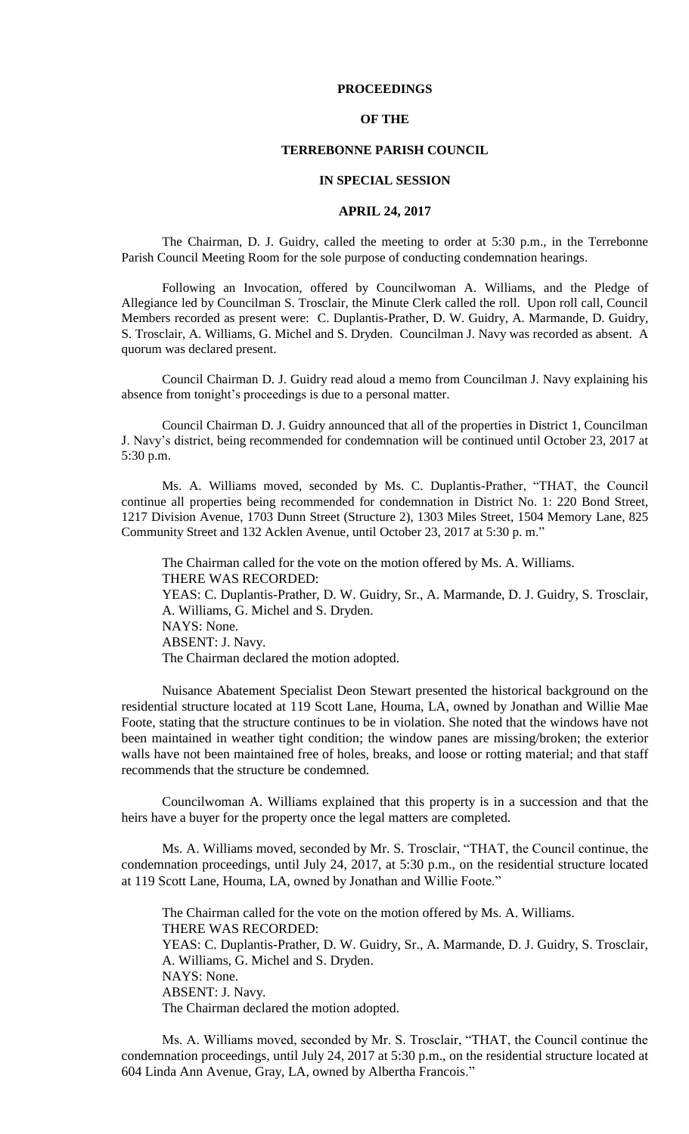## **PROCEEDINGS**

# **OF THE**

## **TERREBONNE PARISH COUNCIL**

#### **IN SPECIAL SESSION**

#### **APRIL 24, 2017**

The Chairman, D. J. Guidry, called the meeting to order at 5:30 p.m., in the Terrebonne Parish Council Meeting Room for the sole purpose of conducting condemnation hearings.

Following an Invocation, offered by Councilwoman A. Williams, and the Pledge of Allegiance led by Councilman S. Trosclair, the Minute Clerk called the roll. Upon roll call, Council Members recorded as present were: C. Duplantis-Prather, D. W. Guidry, A. Marmande, D. Guidry, S. Trosclair, A. Williams, G. Michel and S. Dryden. Councilman J. Navy was recorded as absent. A quorum was declared present.

Council Chairman D. J. Guidry read aloud a memo from Councilman J. Navy explaining his absence from tonight's proceedings is due to a personal matter.

Council Chairman D. J. Guidry announced that all of the properties in District 1, Councilman J. Navy's district, being recommended for condemnation will be continued until October 23, 2017 at 5:30 p.m.

Ms. A. Williams moved, seconded by Ms. C. Duplantis-Prather, "THAT, the Council continue all properties being recommended for condemnation in District No. 1: 220 Bond Street, 1217 Division Avenue, 1703 Dunn Street (Structure 2), 1303 Miles Street, 1504 Memory Lane, 825 Community Street and 132 Acklen Avenue, until October 23, 2017 at 5:30 p. m."

The Chairman called for the vote on the motion offered by Ms. A. Williams. THERE WAS RECORDED: YEAS: C. Duplantis-Prather, D. W. Guidry, Sr., A. Marmande, D. J. Guidry, S. Trosclair, A. Williams, G. Michel and S. Dryden. NAYS: None. ABSENT: J. Navy. The Chairman declared the motion adopted.

Nuisance Abatement Specialist Deon Stewart presented the historical background on the residential structure located at 119 Scott Lane, Houma, LA, owned by Jonathan and Willie Mae Foote, stating that the structure continues to be in violation. She noted that the windows have not been maintained in weather tight condition; the window panes are missing/broken; the exterior walls have not been maintained free of holes, breaks, and loose or rotting material; and that staff recommends that the structure be condemned.

Councilwoman A. Williams explained that this property is in a succession and that the heirs have a buyer for the property once the legal matters are completed.

Ms. A. Williams moved, seconded by Mr. S. Trosclair, "THAT, the Council continue, the condemnation proceedings, until July 24, 2017, at 5:30 p.m., on the residential structure located at 119 Scott Lane, Houma, LA, owned by Jonathan and Willie Foote."

The Chairman called for the vote on the motion offered by Ms. A. Williams. THERE WAS RECORDED: YEAS: C. Duplantis-Prather, D. W. Guidry, Sr., A. Marmande, D. J. Guidry, S. Trosclair, A. Williams, G. Michel and S. Dryden. NAYS: None. ABSENT: J. Navy. The Chairman declared the motion adopted.

Ms. A. Williams moved, seconded by Mr. S. Trosclair, "THAT, the Council continue the condemnation proceedings, until July 24, 2017 at 5:30 p.m., on the residential structure located at 604 Linda Ann Avenue, Gray, LA, owned by Albertha Francois."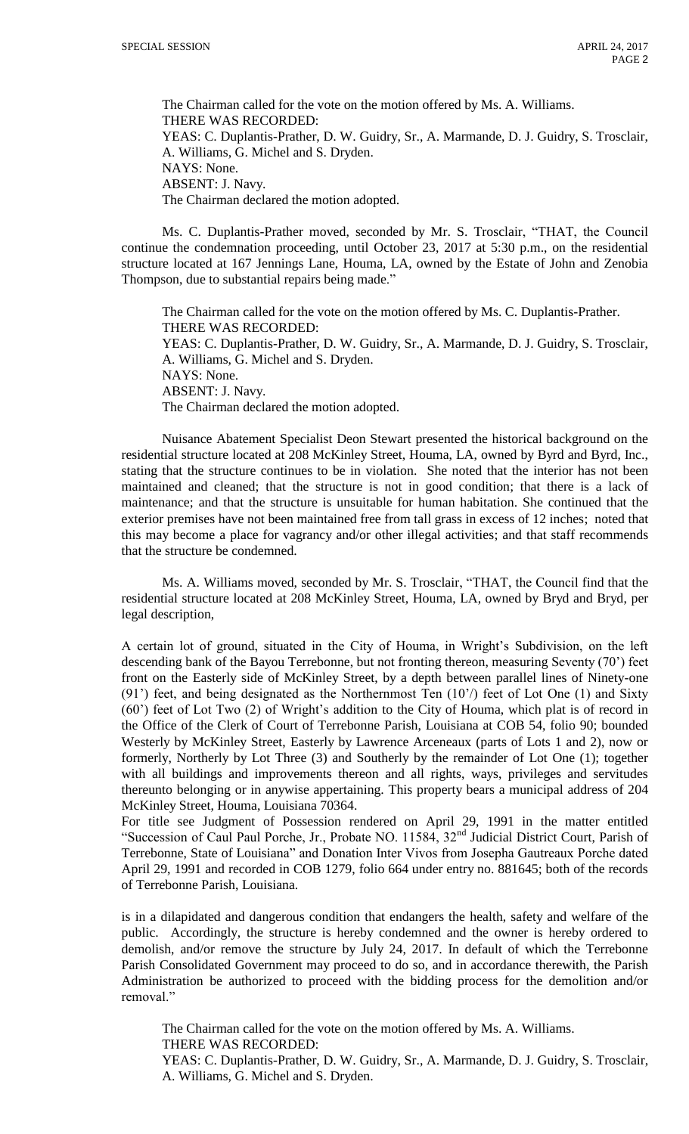The Chairman called for the vote on the motion offered by Ms. A. Williams. THERE WAS RECORDED: YEAS: C. Duplantis-Prather, D. W. Guidry, Sr., A. Marmande, D. J. Guidry, S. Trosclair, A. Williams, G. Michel and S. Dryden. NAYS: None. ABSENT: J. Navy. The Chairman declared the motion adopted.

Ms. C. Duplantis-Prather moved, seconded by Mr. S. Trosclair, "THAT, the Council continue the condemnation proceeding, until October 23, 2017 at 5:30 p.m., on the residential structure located at 167 Jennings Lane, Houma, LA, owned by the Estate of John and Zenobia Thompson, due to substantial repairs being made."

The Chairman called for the vote on the motion offered by Ms. C. Duplantis-Prather. THERE WAS RECORDED: YEAS: C. Duplantis-Prather, D. W. Guidry, Sr., A. Marmande, D. J. Guidry, S. Trosclair, A. Williams, G. Michel and S. Dryden. NAYS: None. ABSENT: J. Navy. The Chairman declared the motion adopted.

Nuisance Abatement Specialist Deon Stewart presented the historical background on the residential structure located at 208 McKinley Street, Houma, LA, owned by Byrd and Byrd, Inc., stating that the structure continues to be in violation. She noted that the interior has not been maintained and cleaned; that the structure is not in good condition; that there is a lack of maintenance; and that the structure is unsuitable for human habitation. She continued that the exterior premises have not been maintained free from tall grass in excess of 12 inches; noted that this may become a place for vagrancy and/or other illegal activities; and that staff recommends that the structure be condemned.

Ms. A. Williams moved, seconded by Mr. S. Trosclair, "THAT, the Council find that the residential structure located at 208 McKinley Street, Houma, LA, owned by Bryd and Bryd, per legal description,

A certain lot of ground, situated in the City of Houma, in Wright's Subdivision, on the left descending bank of the Bayou Terrebonne, but not fronting thereon, measuring Seventy (70') feet front on the Easterly side of McKinley Street, by a depth between parallel lines of Ninety-one (91') feet, and being designated as the Northernmost Ten  $(10')$  feet of Lot One  $(1)$  and Sixty (60') feet of Lot Two (2) of Wright's addition to the City of Houma, which plat is of record in the Office of the Clerk of Court of Terrebonne Parish, Louisiana at COB 54, folio 90; bounded Westerly by McKinley Street, Easterly by Lawrence Arceneaux (parts of Lots 1 and 2), now or formerly, Northerly by Lot Three (3) and Southerly by the remainder of Lot One (1); together with all buildings and improvements thereon and all rights, ways, privileges and servitudes thereunto belonging or in anywise appertaining. This property bears a municipal address of 204 McKinley Street, Houma, Louisiana 70364.

For title see Judgment of Possession rendered on April 29, 1991 in the matter entitled "Succession of Caul Paul Porche, Jr., Probate NO. 11584, 32nd Judicial District Court, Parish of Terrebonne, State of Louisiana" and Donation Inter Vivos from Josepha Gautreaux Porche dated April 29, 1991 and recorded in COB 1279, folio 664 under entry no. 881645; both of the records of Terrebonne Parish, Louisiana.

is in a dilapidated and dangerous condition that endangers the health, safety and welfare of the public. Accordingly, the structure is hereby condemned and the owner is hereby ordered to demolish, and/or remove the structure by July 24, 2017. In default of which the Terrebonne Parish Consolidated Government may proceed to do so, and in accordance therewith, the Parish Administration be authorized to proceed with the bidding process for the demolition and/or removal."

The Chairman called for the vote on the motion offered by Ms. A. Williams. THERE WAS RECORDED: YEAS: C. Duplantis-Prather, D. W. Guidry, Sr., A. Marmande, D. J. Guidry, S. Trosclair, A. Williams, G. Michel and S. Dryden.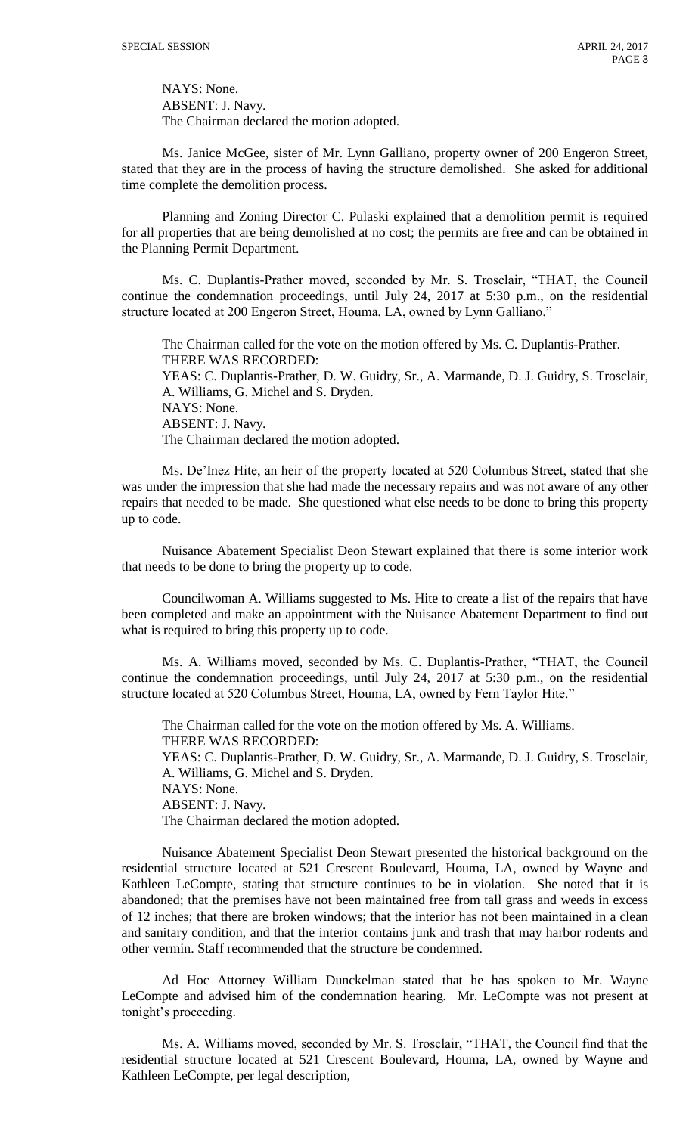NAYS: None. ABSENT: J. Navy. The Chairman declared the motion adopted.

Ms. Janice McGee, sister of Mr. Lynn Galliano, property owner of 200 Engeron Street, stated that they are in the process of having the structure demolished. She asked for additional time complete the demolition process.

Planning and Zoning Director C. Pulaski explained that a demolition permit is required for all properties that are being demolished at no cost; the permits are free and can be obtained in the Planning Permit Department.

Ms. C. Duplantis-Prather moved, seconded by Mr. S. Trosclair, "THAT, the Council continue the condemnation proceedings, until July 24, 2017 at 5:30 p.m., on the residential structure located at 200 Engeron Street, Houma, LA, owned by Lynn Galliano."

The Chairman called for the vote on the motion offered by Ms. C. Duplantis-Prather. THERE WAS RECORDED: YEAS: C. Duplantis-Prather, D. W. Guidry, Sr., A. Marmande, D. J. Guidry, S. Trosclair, A. Williams, G. Michel and S. Dryden. NAYS: None. ABSENT: J. Navy. The Chairman declared the motion adopted.

Ms. De'Inez Hite, an heir of the property located at 520 Columbus Street, stated that she was under the impression that she had made the necessary repairs and was not aware of any other repairs that needed to be made. She questioned what else needs to be done to bring this property up to code.

Nuisance Abatement Specialist Deon Stewart explained that there is some interior work that needs to be done to bring the property up to code.

Councilwoman A. Williams suggested to Ms. Hite to create a list of the repairs that have been completed and make an appointment with the Nuisance Abatement Department to find out what is required to bring this property up to code.

Ms. A. Williams moved, seconded by Ms. C. Duplantis-Prather, "THAT, the Council continue the condemnation proceedings, until July 24, 2017 at 5:30 p.m., on the residential structure located at 520 Columbus Street, Houma, LA, owned by Fern Taylor Hite."

The Chairman called for the vote on the motion offered by Ms. A. Williams. THERE WAS RECORDED: YEAS: C. Duplantis-Prather, D. W. Guidry, Sr., A. Marmande, D. J. Guidry, S. Trosclair, A. Williams, G. Michel and S. Dryden. NAYS: None. ABSENT: J. Navy. The Chairman declared the motion adopted.

Nuisance Abatement Specialist Deon Stewart presented the historical background on the residential structure located at 521 Crescent Boulevard, Houma, LA, owned by Wayne and Kathleen LeCompte, stating that structure continues to be in violation. She noted that it is abandoned; that the premises have not been maintained free from tall grass and weeds in excess of 12 inches; that there are broken windows; that the interior has not been maintained in a clean and sanitary condition, and that the interior contains junk and trash that may harbor rodents and other vermin. Staff recommended that the structure be condemned.

Ad Hoc Attorney William Dunckelman stated that he has spoken to Mr. Wayne LeCompte and advised him of the condemnation hearing. Mr. LeCompte was not present at tonight's proceeding.

Ms. A. Williams moved, seconded by Mr. S. Trosclair, "THAT, the Council find that the residential structure located at 521 Crescent Boulevard, Houma, LA, owned by Wayne and Kathleen LeCompte, per legal description,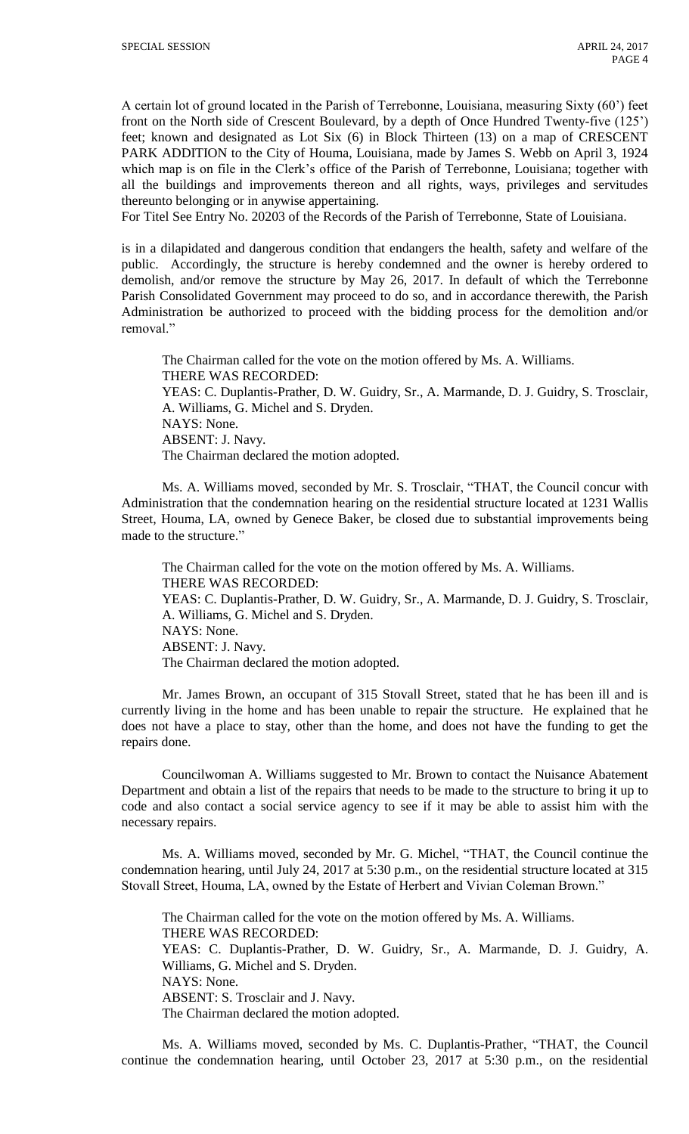A certain lot of ground located in the Parish of Terrebonne, Louisiana, measuring Sixty (60') feet front on the North side of Crescent Boulevard, by a depth of Once Hundred Twenty-five (125') feet; known and designated as Lot Six (6) in Block Thirteen (13) on a map of CRESCENT PARK ADDITION to the City of Houma, Louisiana, made by James S. Webb on April 3, 1924 which map is on file in the Clerk's office of the Parish of Terrebonne, Louisiana; together with all the buildings and improvements thereon and all rights, ways, privileges and servitudes thereunto belonging or in anywise appertaining.

For Titel See Entry No. 20203 of the Records of the Parish of Terrebonne, State of Louisiana.

is in a dilapidated and dangerous condition that endangers the health, safety and welfare of the public. Accordingly, the structure is hereby condemned and the owner is hereby ordered to demolish, and/or remove the structure by May 26, 2017. In default of which the Terrebonne Parish Consolidated Government may proceed to do so, and in accordance therewith, the Parish Administration be authorized to proceed with the bidding process for the demolition and/or removal."

The Chairman called for the vote on the motion offered by Ms. A. Williams. THERE WAS RECORDED: YEAS: C. Duplantis-Prather, D. W. Guidry, Sr., A. Marmande, D. J. Guidry, S. Trosclair, A. Williams, G. Michel and S. Dryden. NAYS: None. ABSENT: J. Navy. The Chairman declared the motion adopted.

Ms. A. Williams moved, seconded by Mr. S. Trosclair, "THAT, the Council concur with Administration that the condemnation hearing on the residential structure located at 1231 Wallis Street, Houma, LA, owned by Genece Baker, be closed due to substantial improvements being made to the structure."

The Chairman called for the vote on the motion offered by Ms. A. Williams. THERE WAS RECORDED: YEAS: C. Duplantis-Prather, D. W. Guidry, Sr., A. Marmande, D. J. Guidry, S. Trosclair, A. Williams, G. Michel and S. Dryden. NAYS: None. ABSENT: J. Navy. The Chairman declared the motion adopted.

Mr. James Brown, an occupant of 315 Stovall Street, stated that he has been ill and is currently living in the home and has been unable to repair the structure. He explained that he does not have a place to stay, other than the home, and does not have the funding to get the repairs done.

Councilwoman A. Williams suggested to Mr. Brown to contact the Nuisance Abatement Department and obtain a list of the repairs that needs to be made to the structure to bring it up to code and also contact a social service agency to see if it may be able to assist him with the necessary repairs.

Ms. A. Williams moved, seconded by Mr. G. Michel, "THAT, the Council continue the condemnation hearing, until July 24, 2017 at 5:30 p.m., on the residential structure located at 315 Stovall Street, Houma, LA, owned by the Estate of Herbert and Vivian Coleman Brown."

The Chairman called for the vote on the motion offered by Ms. A. Williams. THERE WAS RECORDED: YEAS: C. Duplantis-Prather, D. W. Guidry, Sr., A. Marmande, D. J. Guidry, A. Williams, G. Michel and S. Dryden. NAYS: None. ABSENT: S. Trosclair and J. Navy. The Chairman declared the motion adopted.

Ms. A. Williams moved, seconded by Ms. C. Duplantis-Prather, "THAT, the Council continue the condemnation hearing, until October 23, 2017 at 5:30 p.m., on the residential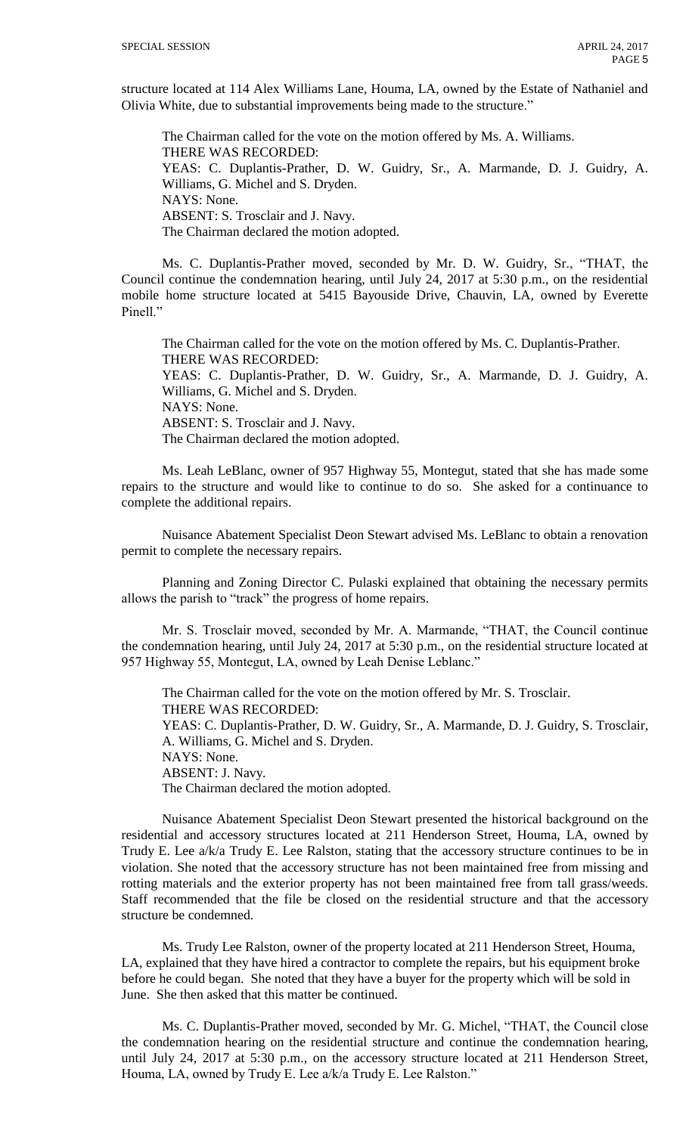structure located at 114 Alex Williams Lane, Houma, LA, owned by the Estate of Nathaniel and Olivia White, due to substantial improvements being made to the structure."

The Chairman called for the vote on the motion offered by Ms. A. Williams. THERE WAS RECORDED: YEAS: C. Duplantis-Prather, D. W. Guidry, Sr., A. Marmande, D. J. Guidry, A. Williams, G. Michel and S. Dryden. NAYS: None. ABSENT: S. Trosclair and J. Navy. The Chairman declared the motion adopted.

Ms. C. Duplantis-Prather moved, seconded by Mr. D. W. Guidry, Sr., "THAT, the Council continue the condemnation hearing, until July 24, 2017 at 5:30 p.m., on the residential mobile home structure located at 5415 Bayouside Drive, Chauvin, LA, owned by Everette Pinell."

The Chairman called for the vote on the motion offered by Ms. C. Duplantis-Prather. THERE WAS RECORDED: YEAS: C. Duplantis-Prather, D. W. Guidry, Sr., A. Marmande, D. J. Guidry, A. Williams, G. Michel and S. Dryden. NAYS: None. ABSENT: S. Trosclair and J. Navy.

The Chairman declared the motion adopted.

Ms. Leah LeBlanc, owner of 957 Highway 55, Montegut, stated that she has made some repairs to the structure and would like to continue to do so. She asked for a continuance to complete the additional repairs.

Nuisance Abatement Specialist Deon Stewart advised Ms. LeBlanc to obtain a renovation permit to complete the necessary repairs.

Planning and Zoning Director C. Pulaski explained that obtaining the necessary permits allows the parish to "track" the progress of home repairs.

Mr. S. Trosclair moved, seconded by Mr. A. Marmande, "THAT, the Council continue the condemnation hearing, until July 24, 2017 at 5:30 p.m., on the residential structure located at 957 Highway 55, Montegut, LA, owned by Leah Denise Leblanc."

The Chairman called for the vote on the motion offered by Mr. S. Trosclair. THERE WAS RECORDED: YEAS: C. Duplantis-Prather, D. W. Guidry, Sr., A. Marmande, D. J. Guidry, S. Trosclair,

A. Williams, G. Michel and S. Dryden.

NAYS: None.

ABSENT: J. Navy.

The Chairman declared the motion adopted.

Nuisance Abatement Specialist Deon Stewart presented the historical background on the residential and accessory structures located at 211 Henderson Street, Houma, LA, owned by Trudy E. Lee a/k/a Trudy E. Lee Ralston, stating that the accessory structure continues to be in violation. She noted that the accessory structure has not been maintained free from missing and rotting materials and the exterior property has not been maintained free from tall grass/weeds. Staff recommended that the file be closed on the residential structure and that the accessory structure be condemned.

Ms. Trudy Lee Ralston, owner of the property located at 211 Henderson Street, Houma, LA, explained that they have hired a contractor to complete the repairs, but his equipment broke before he could began. She noted that they have a buyer for the property which will be sold in June. She then asked that this matter be continued.

Ms. C. Duplantis-Prather moved, seconded by Mr. G. Michel, "THAT, the Council close the condemnation hearing on the residential structure and continue the condemnation hearing, until July 24, 2017 at 5:30 p.m., on the accessory structure located at 211 Henderson Street, Houma, LA, owned by Trudy E. Lee a/k/a Trudy E. Lee Ralston."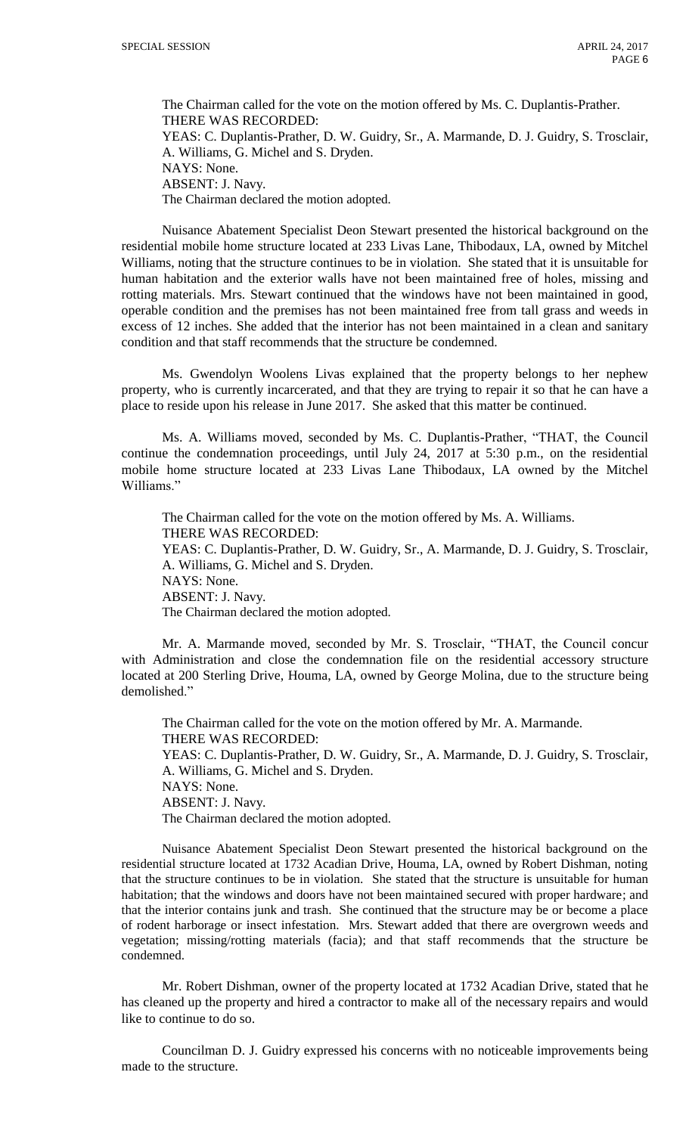The Chairman called for the vote on the motion offered by Ms. C. Duplantis-Prather. THERE WAS RECORDED: YEAS: C. Duplantis-Prather, D. W. Guidry, Sr., A. Marmande, D. J. Guidry, S. Trosclair, A. Williams, G. Michel and S. Dryden. NAYS: None. ABSENT: J. Navy. The Chairman declared the motion adopted.

Nuisance Abatement Specialist Deon Stewart presented the historical background on the residential mobile home structure located at 233 Livas Lane, Thibodaux, LA, owned by Mitchel Williams, noting that the structure continues to be in violation. She stated that it is unsuitable for human habitation and the exterior walls have not been maintained free of holes, missing and rotting materials. Mrs. Stewart continued that the windows have not been maintained in good, operable condition and the premises has not been maintained free from tall grass and weeds in excess of 12 inches. She added that the interior has not been maintained in a clean and sanitary condition and that staff recommends that the structure be condemned.

Ms. Gwendolyn Woolens Livas explained that the property belongs to her nephew property, who is currently incarcerated, and that they are trying to repair it so that he can have a place to reside upon his release in June 2017. She asked that this matter be continued.

Ms. A. Williams moved, seconded by Ms. C. Duplantis-Prather, "THAT, the Council continue the condemnation proceedings, until July 24, 2017 at 5:30 p.m., on the residential mobile home structure located at 233 Livas Lane Thibodaux, LA owned by the Mitchel Williams."

The Chairman called for the vote on the motion offered by Ms. A. Williams. THERE WAS RECORDED: YEAS: C. Duplantis-Prather, D. W. Guidry, Sr., A. Marmande, D. J. Guidry, S. Trosclair, A. Williams, G. Michel and S. Dryden. NAYS: None. ABSENT: J. Navy. The Chairman declared the motion adopted.

Mr. A. Marmande moved, seconded by Mr. S. Trosclair, "THAT, the Council concur with Administration and close the condemnation file on the residential accessory structure located at 200 Sterling Drive, Houma, LA, owned by George Molina, due to the structure being demolished."

The Chairman called for the vote on the motion offered by Mr. A. Marmande. THERE WAS RECORDED: YEAS: C. Duplantis-Prather, D. W. Guidry, Sr., A. Marmande, D. J. Guidry, S. Trosclair, A. Williams, G. Michel and S. Dryden. NAYS: None. ABSENT: J. Navy. The Chairman declared the motion adopted.

Nuisance Abatement Specialist Deon Stewart presented the historical background on the residential structure located at 1732 Acadian Drive, Houma, LA, owned by Robert Dishman, noting that the structure continues to be in violation. She stated that the structure is unsuitable for human habitation; that the windows and doors have not been maintained secured with proper hardware; and that the interior contains junk and trash. She continued that the structure may be or become a place of rodent harborage or insect infestation. Mrs. Stewart added that there are overgrown weeds and vegetation; missing/rotting materials (facia); and that staff recommends that the structure be condemned.

Mr. Robert Dishman, owner of the property located at 1732 Acadian Drive, stated that he has cleaned up the property and hired a contractor to make all of the necessary repairs and would like to continue to do so.

Councilman D. J. Guidry expressed his concerns with no noticeable improvements being made to the structure.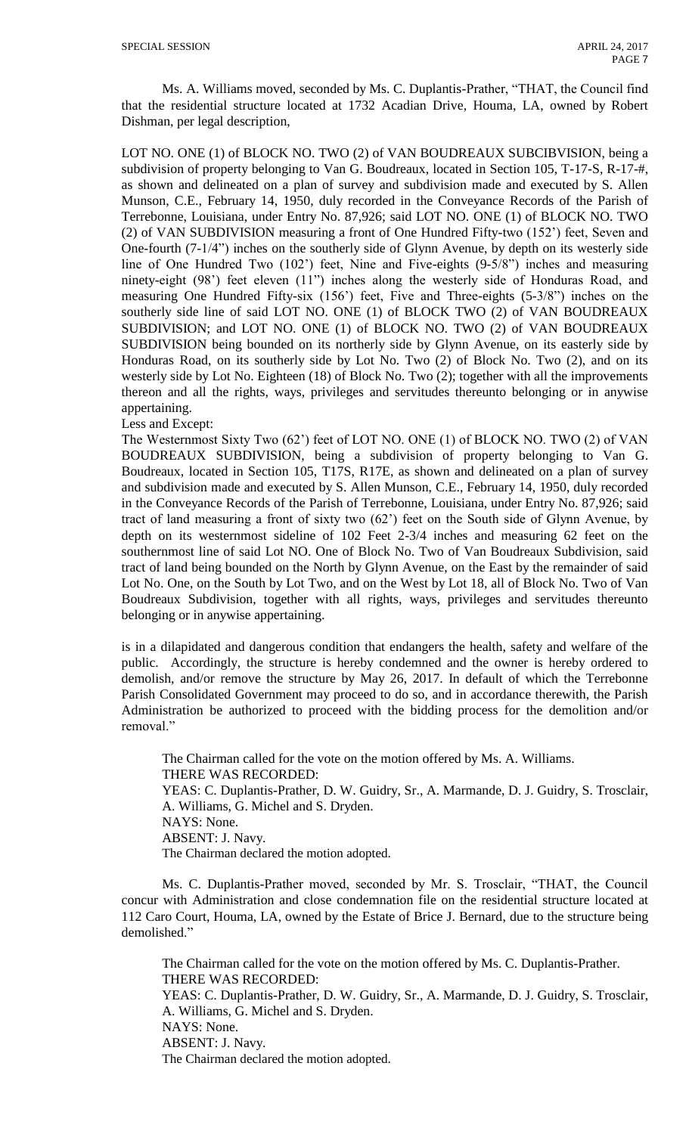Ms. A. Williams moved, seconded by Ms. C. Duplantis-Prather, "THAT, the Council find that the residential structure located at 1732 Acadian Drive, Houma, LA, owned by Robert Dishman, per legal description,

LOT NO. ONE (1) of BLOCK NO. TWO (2) of VAN BOUDREAUX SUBCIBVISION, being a subdivision of property belonging to Van G. Boudreaux, located in Section 105, T-17-S, R-17-#, as shown and delineated on a plan of survey and subdivision made and executed by S. Allen Munson, C.E., February 14, 1950, duly recorded in the Conveyance Records of the Parish of Terrebonne, Louisiana, under Entry No. 87,926; said LOT NO. ONE (1) of BLOCK NO. TWO (2) of VAN SUBDIVISION measuring a front of One Hundred Fifty-two (152') feet, Seven and One-fourth (7-1/4") inches on the southerly side of Glynn Avenue, by depth on its westerly side line of One Hundred Two (102') feet, Nine and Five-eights (9-5/8") inches and measuring ninety-eight (98') feet eleven (11") inches along the westerly side of Honduras Road, and measuring One Hundred Fifty-six (156') feet, Five and Three-eights (5-3/8") inches on the southerly side line of said LOT NO. ONE (1) of BLOCK TWO (2) of VAN BOUDREAUX SUBDIVISION; and LOT NO. ONE (1) of BLOCK NO. TWO (2) of VAN BOUDREAUX SUBDIVISION being bounded on its northerly side by Glynn Avenue, on its easterly side by Honduras Road, on its southerly side by Lot No. Two (2) of Block No. Two (2), and on its westerly side by Lot No. Eighteen (18) of Block No. Two (2); together with all the improvements thereon and all the rights, ways, privileges and servitudes thereunto belonging or in anywise appertaining.

Less and Except:

The Westernmost Sixty Two (62') feet of LOT NO. ONE (1) of BLOCK NO. TWO (2) of VAN BOUDREAUX SUBDIVISION, being a subdivision of property belonging to Van G. Boudreaux, located in Section 105, T17S, R17E, as shown and delineated on a plan of survey and subdivision made and executed by S. Allen Munson, C.E., February 14, 1950, duly recorded in the Conveyance Records of the Parish of Terrebonne, Louisiana, under Entry No. 87,926; said tract of land measuring a front of sixty two (62') feet on the South side of Glynn Avenue, by depth on its westernmost sideline of 102 Feet 2-3/4 inches and measuring 62 feet on the southernmost line of said Lot NO. One of Block No. Two of Van Boudreaux Subdivision, said tract of land being bounded on the North by Glynn Avenue, on the East by the remainder of said Lot No. One, on the South by Lot Two, and on the West by Lot 18, all of Block No. Two of Van Boudreaux Subdivision, together with all rights, ways, privileges and servitudes thereunto belonging or in anywise appertaining.

is in a dilapidated and dangerous condition that endangers the health, safety and welfare of the public. Accordingly, the structure is hereby condemned and the owner is hereby ordered to demolish, and/or remove the structure by May 26, 2017. In default of which the Terrebonne Parish Consolidated Government may proceed to do so, and in accordance therewith, the Parish Administration be authorized to proceed with the bidding process for the demolition and/or removal."

The Chairman called for the vote on the motion offered by Ms. A. Williams. THERE WAS RECORDED: YEAS: C. Duplantis-Prather, D. W. Guidry, Sr., A. Marmande, D. J. Guidry, S. Trosclair, A. Williams, G. Michel and S. Dryden. NAYS: None. ABSENT: J. Navy. The Chairman declared the motion adopted.

Ms. C. Duplantis-Prather moved, seconded by Mr. S. Trosclair, "THAT, the Council concur with Administration and close condemnation file on the residential structure located at 112 Caro Court, Houma, LA, owned by the Estate of Brice J. Bernard, due to the structure being demolished."

The Chairman called for the vote on the motion offered by Ms. C. Duplantis-Prather. THERE WAS RECORDED: YEAS: C. Duplantis-Prather, D. W. Guidry, Sr., A. Marmande, D. J. Guidry, S. Trosclair, A. Williams, G. Michel and S. Dryden. NAYS: None. ABSENT: J. Navy. The Chairman declared the motion adopted.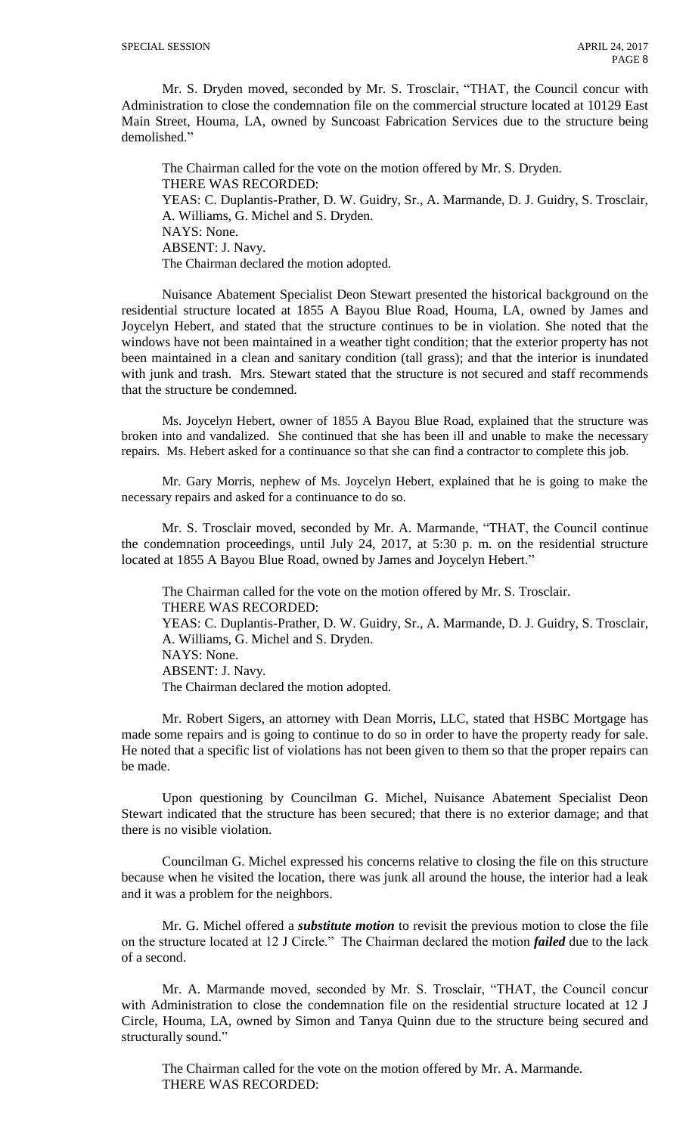Mr. S. Dryden moved, seconded by Mr. S. Trosclair, "THAT, the Council concur with Administration to close the condemnation file on the commercial structure located at 10129 East Main Street, Houma, LA, owned by Suncoast Fabrication Services due to the structure being demolished."

The Chairman called for the vote on the motion offered by Mr. S. Dryden. THERE WAS RECORDED: YEAS: C. Duplantis-Prather, D. W. Guidry, Sr., A. Marmande, D. J. Guidry, S. Trosclair, A. Williams, G. Michel and S. Dryden. NAYS: None. ABSENT: J. Navy. The Chairman declared the motion adopted.

Nuisance Abatement Specialist Deon Stewart presented the historical background on the residential structure located at 1855 A Bayou Blue Road, Houma, LA, owned by James and Joycelyn Hebert, and stated that the structure continues to be in violation. She noted that the windows have not been maintained in a weather tight condition; that the exterior property has not been maintained in a clean and sanitary condition (tall grass); and that the interior is inundated with junk and trash. Mrs. Stewart stated that the structure is not secured and staff recommends that the structure be condemned.

Ms. Joycelyn Hebert, owner of 1855 A Bayou Blue Road, explained that the structure was broken into and vandalized. She continued that she has been ill and unable to make the necessary repairs. Ms. Hebert asked for a continuance so that she can find a contractor to complete this job.

Mr. Gary Morris, nephew of Ms. Joycelyn Hebert, explained that he is going to make the necessary repairs and asked for a continuance to do so.

Mr. S. Trosclair moved, seconded by Mr. A. Marmande, "THAT, the Council continue the condemnation proceedings, until July 24, 2017, at 5:30 p. m. on the residential structure located at 1855 A Bayou Blue Road, owned by James and Joycelyn Hebert."

The Chairman called for the vote on the motion offered by Mr. S. Trosclair. THERE WAS RECORDED: YEAS: C. Duplantis-Prather, D. W. Guidry, Sr., A. Marmande, D. J. Guidry, S. Trosclair, A. Williams, G. Michel and S. Dryden. NAYS: None. ABSENT: J. Navy. The Chairman declared the motion adopted.

Mr. Robert Sigers, an attorney with Dean Morris, LLC, stated that HSBC Mortgage has made some repairs and is going to continue to do so in order to have the property ready for sale. He noted that a specific list of violations has not been given to them so that the proper repairs can be made.

Upon questioning by Councilman G. Michel, Nuisance Abatement Specialist Deon Stewart indicated that the structure has been secured; that there is no exterior damage; and that there is no visible violation.

Councilman G. Michel expressed his concerns relative to closing the file on this structure because when he visited the location, there was junk all around the house, the interior had a leak and it was a problem for the neighbors.

Mr. G. Michel offered a *substitute motion* to revisit the previous motion to close the file on the structure located at 12 J Circle." The Chairman declared the motion *failed* due to the lack of a second.

Mr. A. Marmande moved, seconded by Mr. S. Trosclair, "THAT, the Council concur with Administration to close the condemnation file on the residential structure located at 12 J Circle, Houma, LA, owned by Simon and Tanya Quinn due to the structure being secured and structurally sound."

The Chairman called for the vote on the motion offered by Mr. A. Marmande. THERE WAS RECORDED: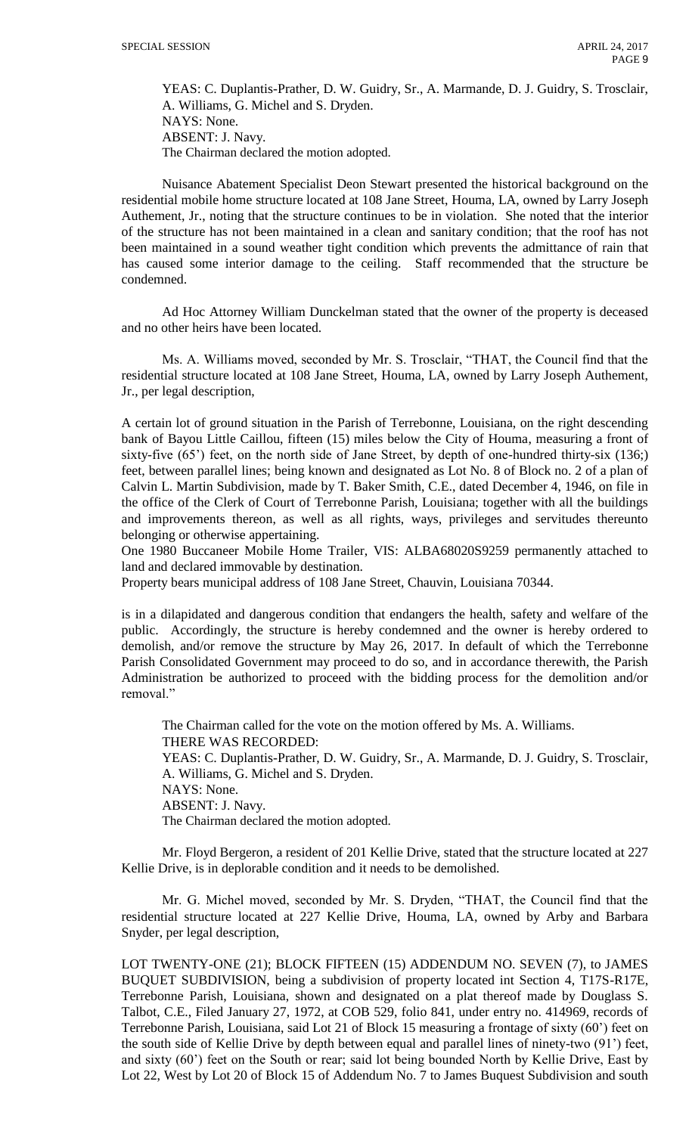YEAS: C. Duplantis-Prather, D. W. Guidry, Sr., A. Marmande, D. J. Guidry, S. Trosclair, A. Williams, G. Michel and S. Dryden. NAYS: None. ABSENT: J. Navy.

The Chairman declared the motion adopted.

Nuisance Abatement Specialist Deon Stewart presented the historical background on the residential mobile home structure located at 108 Jane Street, Houma, LA, owned by Larry Joseph Authement, Jr., noting that the structure continues to be in violation. She noted that the interior of the structure has not been maintained in a clean and sanitary condition; that the roof has not been maintained in a sound weather tight condition which prevents the admittance of rain that has caused some interior damage to the ceiling. Staff recommended that the structure be condemned.

Ad Hoc Attorney William Dunckelman stated that the owner of the property is deceased and no other heirs have been located.

Ms. A. Williams moved, seconded by Mr. S. Trosclair, "THAT, the Council find that the residential structure located at 108 Jane Street, Houma, LA, owned by Larry Joseph Authement, Jr., per legal description,

A certain lot of ground situation in the Parish of Terrebonne, Louisiana, on the right descending bank of Bayou Little Caillou, fifteen (15) miles below the City of Houma, measuring a front of sixty-five (65<sup>°</sup>) feet, on the north side of Jane Street, by depth of one-hundred thirty-six (136;) feet, between parallel lines; being known and designated as Lot No. 8 of Block no. 2 of a plan of Calvin L. Martin Subdivision, made by T. Baker Smith, C.E., dated December 4, 1946, on file in the office of the Clerk of Court of Terrebonne Parish, Louisiana; together with all the buildings and improvements thereon, as well as all rights, ways, privileges and servitudes thereunto belonging or otherwise appertaining.

One 1980 Buccaneer Mobile Home Trailer, VIS: ALBA68020S9259 permanently attached to land and declared immovable by destination.

Property bears municipal address of 108 Jane Street, Chauvin, Louisiana 70344.

is in a dilapidated and dangerous condition that endangers the health, safety and welfare of the public. Accordingly, the structure is hereby condemned and the owner is hereby ordered to demolish, and/or remove the structure by May 26, 2017. In default of which the Terrebonne Parish Consolidated Government may proceed to do so, and in accordance therewith, the Parish Administration be authorized to proceed with the bidding process for the demolition and/or removal."

The Chairman called for the vote on the motion offered by Ms. A. Williams. THERE WAS RECORDED: YEAS: C. Duplantis-Prather, D. W. Guidry, Sr., A. Marmande, D. J. Guidry, S. Trosclair, A. Williams, G. Michel and S. Dryden. NAYS: None. ABSENT: J. Navy. The Chairman declared the motion adopted.

Mr. Floyd Bergeron, a resident of 201 Kellie Drive, stated that the structure located at 227 Kellie Drive, is in deplorable condition and it needs to be demolished.

Mr. G. Michel moved, seconded by Mr. S. Dryden, "THAT, the Council find that the residential structure located at 227 Kellie Drive, Houma, LA, owned by Arby and Barbara Snyder, per legal description,

LOT TWENTY-ONE (21); BLOCK FIFTEEN (15) ADDENDUM NO. SEVEN (7), to JAMES BUQUET SUBDIVISION, being a subdivision of property located int Section 4, T17S-R17E, Terrebonne Parish, Louisiana, shown and designated on a plat thereof made by Douglass S. Talbot, C.E., Filed January 27, 1972, at COB 529, folio 841, under entry no. 414969, records of Terrebonne Parish, Louisiana, said Lot 21 of Block 15 measuring a frontage of sixty (60') feet on the south side of Kellie Drive by depth between equal and parallel lines of ninety-two (91') feet, and sixty (60') feet on the South or rear; said lot being bounded North by Kellie Drive, East by Lot 22, West by Lot 20 of Block 15 of Addendum No. 7 to James Buquest Subdivision and south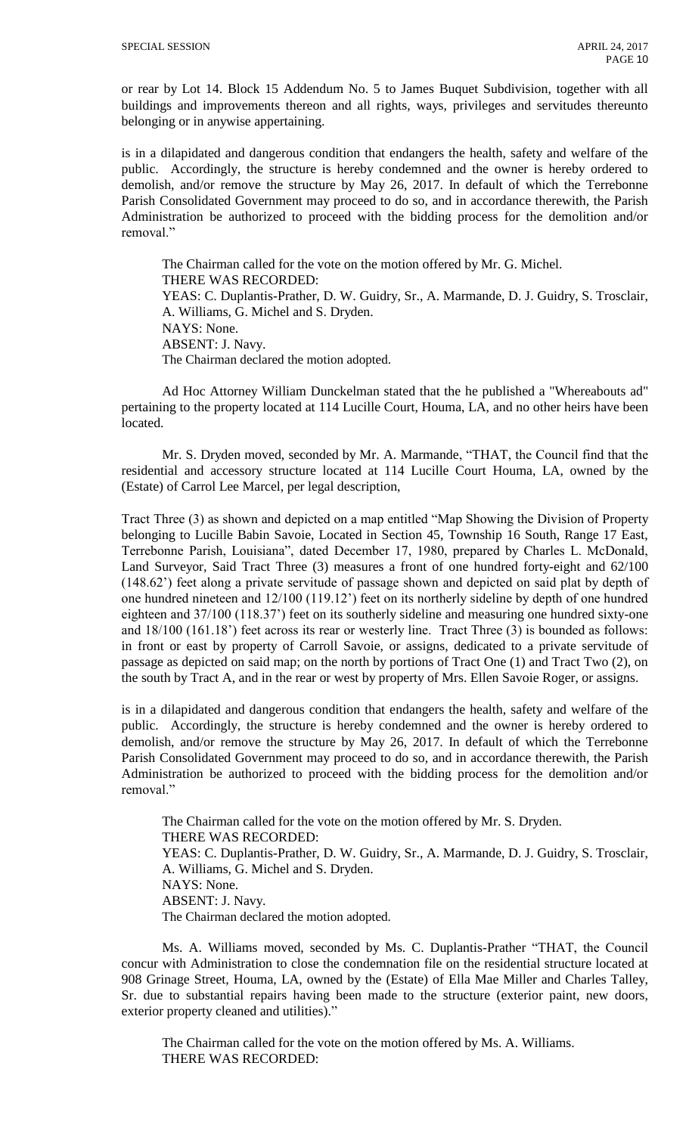or rear by Lot 14. Block 15 Addendum No. 5 to James Buquet Subdivision, together with all buildings and improvements thereon and all rights, ways, privileges and servitudes thereunto belonging or in anywise appertaining.

is in a dilapidated and dangerous condition that endangers the health, safety and welfare of the public. Accordingly, the structure is hereby condemned and the owner is hereby ordered to demolish, and/or remove the structure by May 26, 2017. In default of which the Terrebonne Parish Consolidated Government may proceed to do so, and in accordance therewith, the Parish Administration be authorized to proceed with the bidding process for the demolition and/or removal."

The Chairman called for the vote on the motion offered by Mr. G. Michel. THERE WAS RECORDED: YEAS: C. Duplantis-Prather, D. W. Guidry, Sr., A. Marmande, D. J. Guidry, S. Trosclair, A. Williams, G. Michel and S. Dryden. NAYS: None. ABSENT: J. Navy. The Chairman declared the motion adopted.

Ad Hoc Attorney William Dunckelman stated that the he published a "Whereabouts ad" pertaining to the property located at 114 Lucille Court, Houma, LA, and no other heirs have been located.

Mr. S. Dryden moved, seconded by Mr. A. Marmande, "THAT, the Council find that the residential and accessory structure located at 114 Lucille Court Houma, LA, owned by the (Estate) of Carrol Lee Marcel, per legal description,

Tract Three (3) as shown and depicted on a map entitled "Map Showing the Division of Property belonging to Lucille Babin Savoie, Located in Section 45, Township 16 South, Range 17 East, Terrebonne Parish, Louisiana", dated December 17, 1980, prepared by Charles L. McDonald, Land Surveyor, Said Tract Three (3) measures a front of one hundred forty-eight and 62/100 (148.62') feet along a private servitude of passage shown and depicted on said plat by depth of one hundred nineteen and 12/100 (119.12') feet on its northerly sideline by depth of one hundred eighteen and 37/100 (118.37') feet on its southerly sideline and measuring one hundred sixty-one and 18/100 (161.18') feet across its rear or westerly line. Tract Three (3) is bounded as follows: in front or east by property of Carroll Savoie, or assigns, dedicated to a private servitude of passage as depicted on said map; on the north by portions of Tract One (1) and Tract Two (2), on the south by Tract A, and in the rear or west by property of Mrs. Ellen Savoie Roger, or assigns.

is in a dilapidated and dangerous condition that endangers the health, safety and welfare of the public. Accordingly, the structure is hereby condemned and the owner is hereby ordered to demolish, and/or remove the structure by May 26, 2017. In default of which the Terrebonne Parish Consolidated Government may proceed to do so, and in accordance therewith, the Parish Administration be authorized to proceed with the bidding process for the demolition and/or removal."

The Chairman called for the vote on the motion offered by Mr. S. Dryden. THERE WAS RECORDED: YEAS: C. Duplantis-Prather, D. W. Guidry, Sr., A. Marmande, D. J. Guidry, S. Trosclair, A. Williams, G. Michel and S. Dryden. NAYS: None. ABSENT: J. Navy. The Chairman declared the motion adopted.

Ms. A. Williams moved, seconded by Ms. C. Duplantis-Prather "THAT, the Council concur with Administration to close the condemnation file on the residential structure located at 908 Grinage Street, Houma, LA, owned by the (Estate) of Ella Mae Miller and Charles Talley, Sr. due to substantial repairs having been made to the structure (exterior paint, new doors, exterior property cleaned and utilities)."

The Chairman called for the vote on the motion offered by Ms. A. Williams. THERE WAS RECORDED: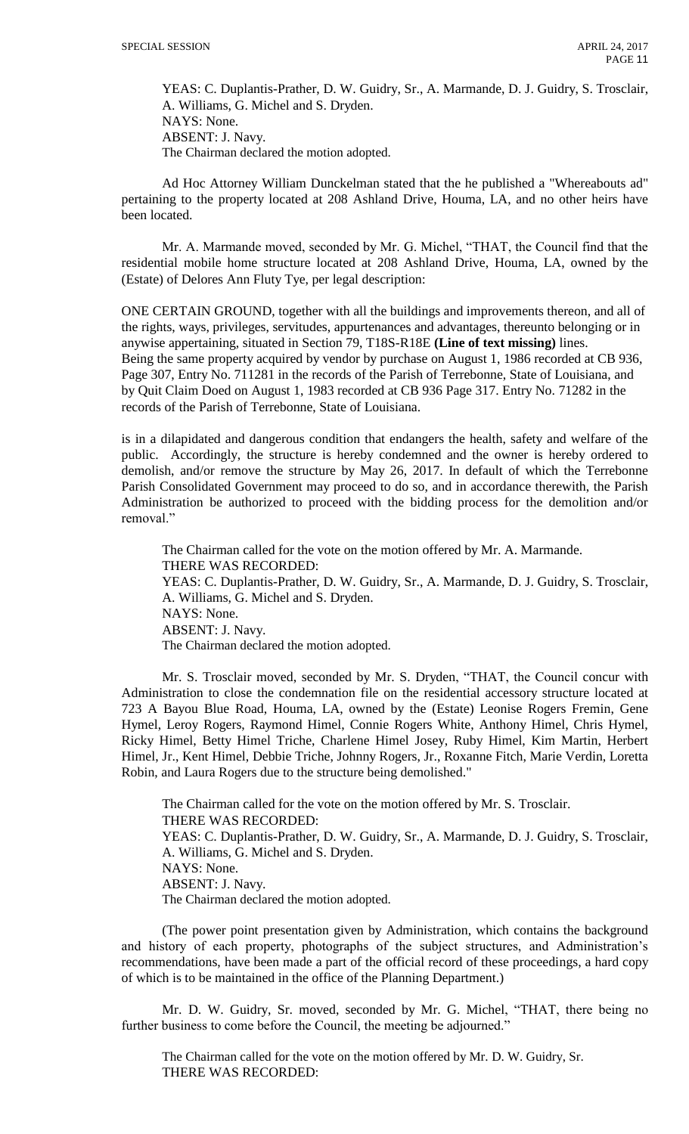YEAS: C. Duplantis-Prather, D. W. Guidry, Sr., A. Marmande, D. J. Guidry, S. Trosclair, A. Williams, G. Michel and S. Dryden. NAYS: None. ABSENT: J. Navy. The Chairman declared the motion adopted.

Ad Hoc Attorney William Dunckelman stated that the he published a "Whereabouts ad" pertaining to the property located at 208 Ashland Drive, Houma, LA, and no other heirs have been located.

Mr. A. Marmande moved, seconded by Mr. G. Michel, "THAT, the Council find that the residential mobile home structure located at 208 Ashland Drive, Houma, LA, owned by the (Estate) of Delores Ann Fluty Tye, per legal description:

ONE CERTAIN GROUND, together with all the buildings and improvements thereon, and all of the rights, ways, privileges, servitudes, appurtenances and advantages, thereunto belonging or in anywise appertaining, situated in Section 79, T18S-R18E **(Line of text missing)** lines. Being the same property acquired by vendor by purchase on August 1, 1986 recorded at CB 936, Page 307, Entry No. 711281 in the records of the Parish of Terrebonne, State of Louisiana, and by Quit Claim Doed on August 1, 1983 recorded at CB 936 Page 317. Entry No. 71282 in the records of the Parish of Terrebonne, State of Louisiana.

is in a dilapidated and dangerous condition that endangers the health, safety and welfare of the public. Accordingly, the structure is hereby condemned and the owner is hereby ordered to demolish, and/or remove the structure by May 26, 2017. In default of which the Terrebonne Parish Consolidated Government may proceed to do so, and in accordance therewith, the Parish Administration be authorized to proceed with the bidding process for the demolition and/or removal."

The Chairman called for the vote on the motion offered by Mr. A. Marmande. THERE WAS RECORDED: YEAS: C. Duplantis-Prather, D. W. Guidry, Sr., A. Marmande, D. J. Guidry, S. Trosclair, A. Williams, G. Michel and S. Dryden. NAYS: None. ABSENT: J. Navy. The Chairman declared the motion adopted.

Mr. S. Trosclair moved, seconded by Mr. S. Dryden, "THAT, the Council concur with Administration to close the condemnation file on the residential accessory structure located at 723 A Bayou Blue Road, Houma, LA, owned by the (Estate) Leonise Rogers Fremin, Gene Hymel, Leroy Rogers, Raymond Himel, Connie Rogers White, Anthony Himel, Chris Hymel, Ricky Himel, Betty Himel Triche, Charlene Himel Josey, Ruby Himel, Kim Martin, Herbert Himel, Jr., Kent Himel, Debbie Triche, Johnny Rogers, Jr., Roxanne Fitch, Marie Verdin, Loretta Robin, and Laura Rogers due to the structure being demolished."

The Chairman called for the vote on the motion offered by Mr. S. Trosclair. THERE WAS RECORDED: YEAS: C. Duplantis-Prather, D. W. Guidry, Sr., A. Marmande, D. J. Guidry, S. Trosclair, A. Williams, G. Michel and S. Dryden. NAYS: None. ABSENT: J. Navy. The Chairman declared the motion adopted.

(The power point presentation given by Administration, which contains the background and history of each property, photographs of the subject structures, and Administration's recommendations, have been made a part of the official record of these proceedings, a hard copy of which is to be maintained in the office of the Planning Department.)

Mr. D. W. Guidry, Sr. moved, seconded by Mr. G. Michel, "THAT, there being no further business to come before the Council, the meeting be adjourned."

The Chairman called for the vote on the motion offered by Mr. D. W. Guidry, Sr. THERE WAS RECORDED: